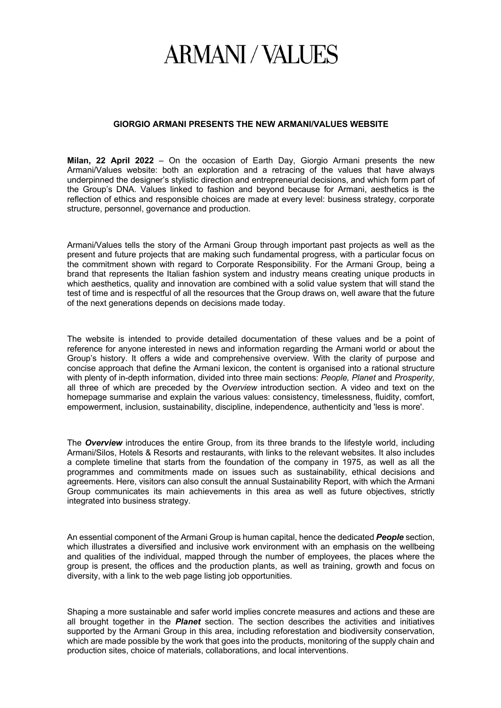## **ARMANI/VALUES**

## **GIORGIO ARMANI PRESENTS THE NEW ARMANI/VALUES WEBSITE**

**Milan, 22 April 2022** – On the occasion of Earth Day, Giorgio Armani presents the new Armani/Values website: both an exploration and a retracing of the values that have always underpinned the designer's stylistic direction and entrepreneurial decisions, and which form part of the Group's DNA. Values linked to fashion and beyond because for Armani, aesthetics is the reflection of ethics and responsible choices are made at every level: business strategy, corporate structure, personnel, governance and production.

Armani/Values tells the story of the Armani Group through important past projects as well as the present and future projects that are making such fundamental progress, with a particular focus on the commitment shown with regard to Corporate Responsibility. For the Armani Group, being a brand that represents the Italian fashion system and industry means creating unique products in which aesthetics, quality and innovation are combined with a solid value system that will stand the test of time and is respectful of all the resources that the Group draws on, well aware that the future of the next generations depends on decisions made today.

The website is intended to provide detailed documentation of these values and be a point of reference for anyone interested in news and information regarding the Armani world or about the Group's history. It offers a wide and comprehensive overview. With the clarity of purpose and concise approach that define the Armani lexicon, the content is organised into a rational structure with plenty of in-depth information, divided into three main sections: *People, Planet* and *Prosperity*, all three of which are preceded by the *Overview* introduction section. A video and text on the homepage summarise and explain the various values: consistency, timelessness, fluidity, comfort, empowerment, inclusion, sustainability, discipline, independence, authenticity and 'less is more'.

The *Overview* introduces the entire Group, from its three brands to the lifestyle world, including Armani/Silos, Hotels & Resorts and restaurants, with links to the relevant websites. It also includes a complete timeline that starts from the foundation of the company in 1975, as well as all the programmes and commitments made on issues such as sustainability, ethical decisions and agreements. Here, visitors can also consult the annual Sustainability Report, with which the Armani Group communicates its main achievements in this area as well as future objectives, strictly integrated into business strategy.

An essential component of the Armani Group is human capital, hence the dedicated *People* section, which illustrates a diversified and inclusive work environment with an emphasis on the wellbeing and qualities of the individual, mapped through the number of employees, the places where the group is present, the offices and the production plants, as well as training, growth and focus on diversity, with a link to the web page listing job opportunities.

Shaping a more sustainable and safer world implies concrete measures and actions and these are all brought together in the *Planet* section. The section describes the activities and initiatives supported by the Armani Group in this area, including reforestation and biodiversity conservation, which are made possible by the work that goes into the products, monitoring of the supply chain and production sites, choice of materials, collaborations, and local interventions.